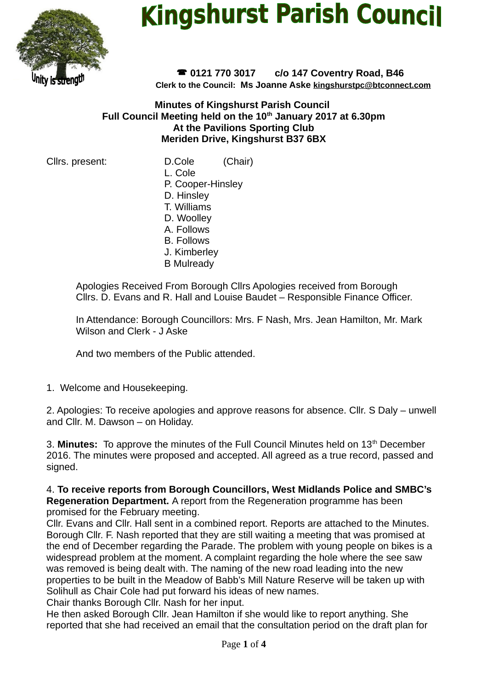

# **Kingshurst Parish Council**

 **0121 770 3017 c/o 147 Coventry Road, B46 Clerk to the Council: Ms Joanne Aske [kingshurstpc@btconnect.com](mailto:kingshurstpc@btconnect.com)**

**Minutes of Kingshurst Parish Council Full Council Meeting held on the 10th January 2017 at 6.30pm At the Pavilions Sporting Club Meriden Drive, Kingshurst B37 6BX**

Cllrs. present: D.Cole (Chair)

- L. Cole
- P. Cooper-Hinsley
- D. Hinsley
- T. Williams D. Woolley
- A. Follows
- B. Follows
- J. Kimberley
- B Mulready

Apologies Received From Borough Cllrs Apologies received from Borough Cllrs. D. Evans and R. Hall and Louise Baudet – Responsible Finance Officer.

In Attendance: Borough Councillors: Mrs. F Nash, Mrs. Jean Hamilton, Mr. Mark Wilson and Clerk - J Aske

And two members of the Public attended.

1. Welcome and Housekeeping.

2. Apologies: To receive apologies and approve reasons for absence. Cllr. S Daly – unwell and Cllr. M. Dawson – on Holiday.

3. Minutes: To approve the minutes of the Full Council Minutes held on 13<sup>th</sup> December 2016. The minutes were proposed and accepted. All agreed as a true record, passed and signed.

4. **To receive reports from Borough Councillors, West Midlands Police and SMBC's Regeneration Department.** A report from the Regeneration programme has been promised for the February meeting.

Cllr. Evans and Cllr. Hall sent in a combined report. Reports are attached to the Minutes. Borough Cllr. F. Nash reported that they are still waiting a meeting that was promised at the end of December regarding the Parade. The problem with young people on bikes is a widespread problem at the moment. A complaint regarding the hole where the see saw was removed is being dealt with. The naming of the new road leading into the new properties to be built in the Meadow of Babb's Mill Nature Reserve will be taken up with Solihull as Chair Cole had put forward his ideas of new names.

Chair thanks Borough Cllr. Nash for her input.

He then asked Borough Cllr. Jean Hamilton if she would like to report anything. She reported that she had received an email that the consultation period on the draft plan for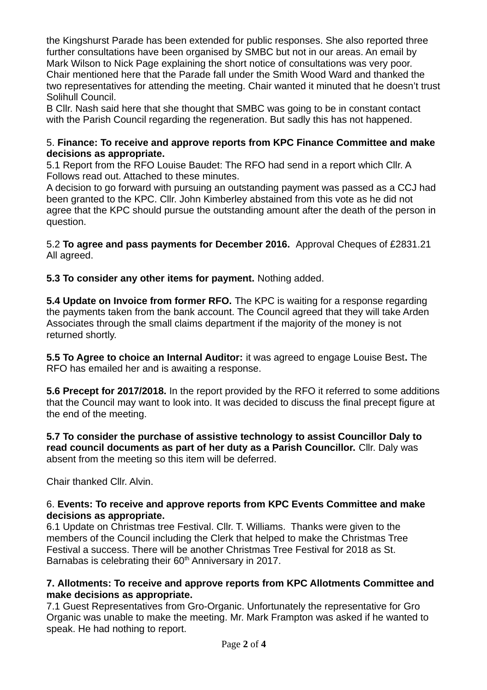the Kingshurst Parade has been extended for public responses. She also reported three further consultations have been organised by SMBC but not in our areas. An email by Mark Wilson to Nick Page explaining the short notice of consultations was very poor. Chair mentioned here that the Parade fall under the Smith Wood Ward and thanked the two representatives for attending the meeting. Chair wanted it minuted that he doesn't trust Solihull Council.

B Cllr. Nash said here that she thought that SMBC was going to be in constant contact with the Parish Council regarding the regeneration. But sadly this has not happened.

#### 5. **Finance: To receive and approve reports from KPC Finance Committee and make decisions as appropriate.**

5.1 Report from the RFO Louise Baudet: The RFO had send in a report which Cllr. A Follows read out. Attached to these minutes.

A decision to go forward with pursuing an outstanding payment was passed as a CCJ had been granted to the KPC. Cllr. John Kimberley abstained from this vote as he did not agree that the KPC should pursue the outstanding amount after the death of the person in question.

5.2 **To agree and pass payments for December 2016.** Approval Cheques of £2831.21 All agreed.

**5.3 To consider any other items for payment.** Nothing added.

**5.4 Update on Invoice from former RFO.** The KPC is waiting for a response regarding the payments taken from the bank account. The Council agreed that they will take Arden Associates through the small claims department if the majority of the money is not returned shortly.

**5.5 To Agree to choice an Internal Auditor:** it was agreed to engage Louise Best**.** The RFO has emailed her and is awaiting a response.

**5.6 Precept for 2017/2018.** In the report provided by the RFO it referred to some additions that the Council may want to look into. It was decided to discuss the final precept figure at the end of the meeting.

**5.7 To consider the purchase of assistive technology to assist Councillor Daly to read council documents as part of her duty as a Parish Councillor.** Cllr. Daly was absent from the meeting so this item will be deferred.

Chair thanked Cllr. Alvin.

### 6. **Events: To receive and approve reports from KPC Events Committee and make decisions as appropriate.**

6.1 Update on Christmas tree Festival. Cllr. T. Williams. Thanks were given to the members of the Council including the Clerk that helped to make the Christmas Tree Festival a success. There will be another Christmas Tree Festival for 2018 as St. Barnabas is celebrating their 60<sup>th</sup> Anniversary in 2017.

### **7. Allotments: To receive and approve reports from KPC Allotments Committee and make decisions as appropriate.**

7.1 Guest Representatives from Gro-Organic. Unfortunately the representative for Gro Organic was unable to make the meeting. Mr. Mark Frampton was asked if he wanted to speak. He had nothing to report.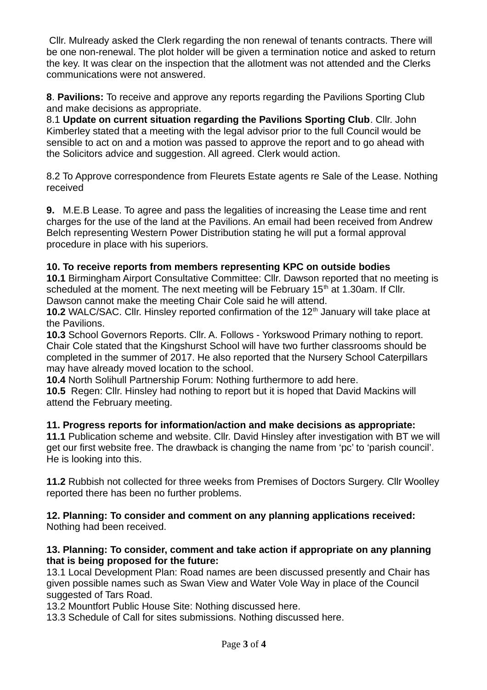Cllr. Mulready asked the Clerk regarding the non renewal of tenants contracts. There will be one non-renewal. The plot holder will be given a termination notice and asked to return the key. It was clear on the inspection that the allotment was not attended and the Clerks communications were not answered.

**8**. **Pavilions:** To receive and approve any reports regarding the Pavilions Sporting Club and make decisions as appropriate.

8.1 **Update on current situation regarding the Pavilions Sporting Club**. Cllr. John Kimberley stated that a meeting with the legal advisor prior to the full Council would be sensible to act on and a motion was passed to approve the report and to go ahead with the Solicitors advice and suggestion. All agreed. Clerk would action.

8.2 To Approve correspondence from Fleurets Estate agents re Sale of the Lease. Nothing received

**9.** M.E.B Lease. To agree and pass the legalities of increasing the Lease time and rent charges for the use of the land at the Pavilions. An email had been received from Andrew Belch representing Western Power Distribution stating he will put a formal approval procedure in place with his superiors.

### **10. To receive reports from members representing KPC on outside bodies**

**10.1** Birmingham Airport Consultative Committee: Cllr. Dawson reported that no meeting is scheduled at the moment. The next meeting will be February  $15<sup>th</sup>$  at 1.30am. If Cllr. Dawson cannot make the meeting Chair Cole said he will attend.

**10.2** WALC/SAC. Cllr. Hinsley reported confirmation of the 12<sup>th</sup> January will take place at the Pavilions.

**10.3** School Governors Reports. Cllr. A. Follows - Yorkswood Primary nothing to report. Chair Cole stated that the Kingshurst School will have two further classrooms should be completed in the summer of 2017. He also reported that the Nursery School Caterpillars may have already moved location to the school.

**10.4** North Solihull Partnership Forum: Nothing furthermore to add here.

**10.5** Regen: Cllr. Hinsley had nothing to report but it is hoped that David Mackins will attend the February meeting.

### **11. Progress reports for information/action and make decisions as appropriate:**

**11.1** Publication scheme and website. Cllr. David Hinsley after investigation with BT we will get our first website free. The drawback is changing the name from 'pc' to 'parish council'. He is looking into this.

**11.2** Rubbish not collected for three weeks from Premises of Doctors Surgery. Cllr Woolley reported there has been no further problems.

#### **12. Planning: To consider and comment on any planning applications received:**  Nothing had been received.

#### **13. Planning: To consider, comment and take action if appropriate on any planning that is being proposed for the future:**

13.1 Local Development Plan: Road names are been discussed presently and Chair has given possible names such as Swan View and Water Vole Way in place of the Council suggested of Tars Road.

13.2 Mountfort Public House Site: Nothing discussed here.

13.3 Schedule of Call for sites submissions. Nothing discussed here.